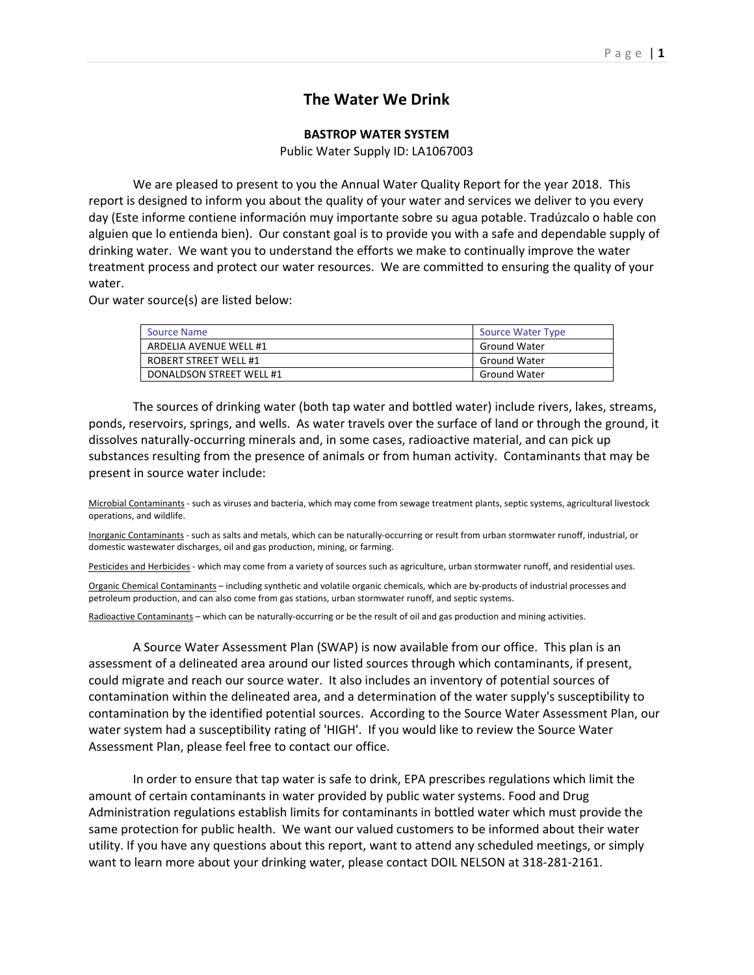## **The Water We Drink**

## **BASTROP WATER SYSTEM**

Public Water Supply ID: LA1067003

 We are pleased to present to you the Annual Water Quality Report for the year 2018. This report is designed to inform you about the quality of your water and services we deliver to you every day (Este informe contiene información muy importante sobre su agua potable. Tradúzcalo o hable con alguien que lo entienda bien). Our constant goal is to provide you with a safe and dependable supply of drinking water. We want you to understand the efforts we make to continually improve the water treatment process and protect our water resources. We are committed to ensuring the quality of your water.

Our water source(s) are listed below:

| <b>Source Name</b>       | <b>Source Water Type</b> |
|--------------------------|--------------------------|
| ARDELIA AVENUE WELL #1   | <b>Ground Water</b>      |
| ROBERT STREET WELL #1    | <b>Ground Water</b>      |
| DONALDSON STREET WELL #1 | <b>Ground Water</b>      |

 The sources of drinking water (both tap water and bottled water) include rivers, lakes, streams, ponds, reservoirs, springs, and wells. As water travels over the surface of land or through the ground, it dissolves naturally‐occurring minerals and, in some cases, radioactive material, and can pick up substances resulting from the presence of animals or from human activity. Contaminants that may be present in source water include:

Microbial Contaminants ‐ such as viruses and bacteria, which may come from sewage treatment plants, septic systems, agricultural livestock operations, and wildlife.

Inorganic Contaminants - such as salts and metals, which can be naturally-occurring or result from urban stormwater runoff, industrial, or domestic wastewater discharges, oil and gas production, mining, or farming.

Pesticides and Herbicides - which may come from a variety of sources such as agriculture, urban stormwater runoff, and residential uses.

Organic Chemical Contaminants – including synthetic and volatile organic chemicals, which are by‐products of industrial processes and petroleum production, and can also come from gas stations, urban stormwater runoff, and septic systems.

Radioactive Contaminants – which can be naturally‐occurring or be the result of oil and gas production and mining activities.

 A Source Water Assessment Plan (SWAP) is now available from our office. This plan is an assessment of a delineated area around our listed sources through which contaminants, if present, could migrate and reach our source water. It also includes an inventory of potential sources of contamination within the delineated area, and a determination of the water supply's susceptibility to contamination by the identified potential sources. According to the Source Water Assessment Plan, our water system had a susceptibility rating of 'HIGH'. If you would like to review the Source Water Assessment Plan, please feel free to contact our office.

 In order to ensure that tap water is safe to drink, EPA prescribes regulations which limit the amount of certain contaminants in water provided by public water systems. Food and Drug Administration regulations establish limits for contaminants in bottled water which must provide the same protection for public health. We want our valued customers to be informed about their water utility. If you have any questions about this report, want to attend any scheduled meetings, or simply want to learn more about your drinking water, please contact DOIL NELSON at 318-281-2161.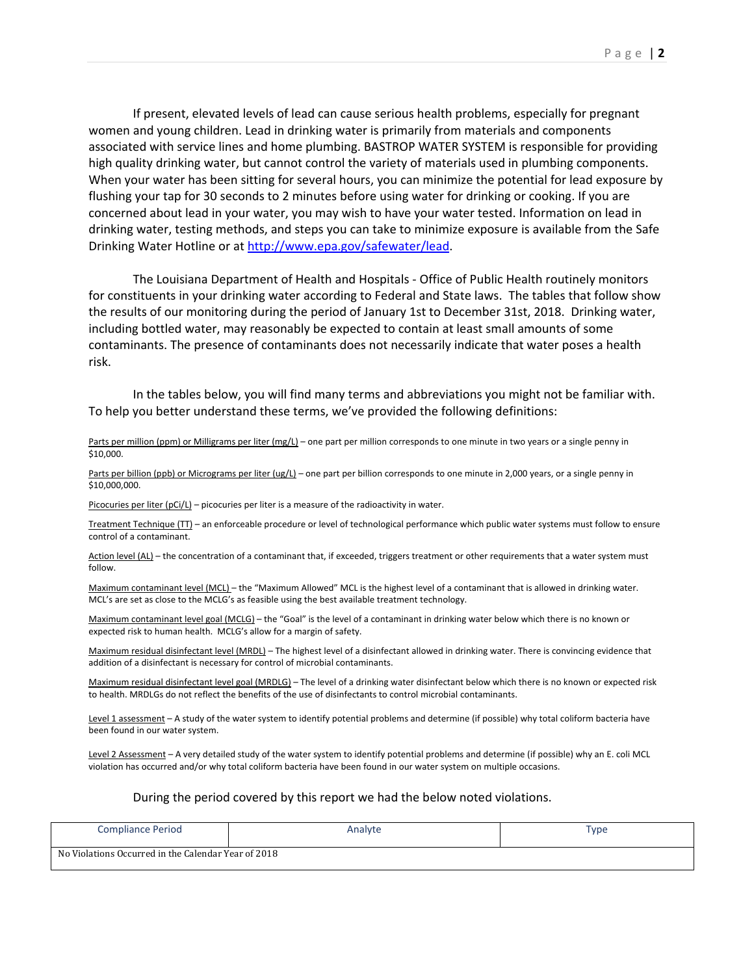If present, elevated levels of lead can cause serious health problems, especially for pregnant women and young children. Lead in drinking water is primarily from materials and components associated with service lines and home plumbing. BASTROP WATER SYSTEM is responsible for providing high quality drinking water, but cannot control the variety of materials used in plumbing components. When your water has been sitting for several hours, you can minimize the potential for lead exposure by flushing your tap for 30 seconds to 2 minutes before using water for drinking or cooking. If you are concerned about lead in your water, you may wish to have your water tested. Information on lead in drinking water, testing methods, and steps you can take to minimize exposure is available from the Safe Drinking Water Hotline or at http://www.epa.gov/safewater/lead.

The Louisiana Department of Health and Hospitals ‐ Office of Public Health routinely monitors for constituents in your drinking water according to Federal and State laws. The tables that follow show the results of our monitoring during the period of January 1st to December 31st, 2018. Drinking water, including bottled water, may reasonably be expected to contain at least small amounts of some contaminants. The presence of contaminants does not necessarily indicate that water poses a health risk.

In the tables below, you will find many terms and abbreviations you might not be familiar with. To help you better understand these terms, we've provided the following definitions:

Parts per million (ppm) or Milligrams per liter (mg/L) – one part per million corresponds to one minute in two years or a single penny in \$10,000.

Parts per billion (ppb) or Micrograms per liter (ug/L) - one part per billion corresponds to one minute in 2,000 years, or a single penny in \$10,000,000.

Picocuries per liter (pCi/L) - picocuries per liter is a measure of the radioactivity in water.

Treatment Technique (TT) - an enforceable procedure or level of technological performance which public water systems must follow to ensure control of a contaminant.

Action level (AL) – the concentration of a contaminant that, if exceeded, triggers treatment or other requirements that a water system must follow.

Maximum contaminant level (MCL) – the "Maximum Allowed" MCL is the highest level of a contaminant that is allowed in drinking water. MCL's are set as close to the MCLG's as feasible using the best available treatment technology.

Maximum contaminant level goal (MCLG) – the "Goal" is the level of a contaminant in drinking water below which there is no known or expected risk to human health. MCLG's allow for a margin of safety.

Maximum residual disinfectant level (MRDL) – The highest level of a disinfectant allowed in drinking water. There is convincing evidence that addition of a disinfectant is necessary for control of microbial contaminants.

Maximum residual disinfectant level goal (MRDLG) – The level of a drinking water disinfectant below which there is no known or expected risk to health. MRDLGs do not reflect the benefits of the use of disinfectants to control microbial contaminants.

Level 1 assessment - A study of the water system to identify potential problems and determine (if possible) why total coliform bacteria have been found in our water system.

Level 2 Assessment - A very detailed study of the water system to identify potential problems and determine (if possible) why an E. coli MCL violation has occurred and/or why total coliform bacteria have been found in our water system on multiple occasions.

## During the period covered by this report we had the below noted violations.

| <b>Compliance Period</b>                            | Analyte | Type |  |  |  |  |  |  |
|-----------------------------------------------------|---------|------|--|--|--|--|--|--|
| No Violations Occurred in the Calendar Year of 2018 |         |      |  |  |  |  |  |  |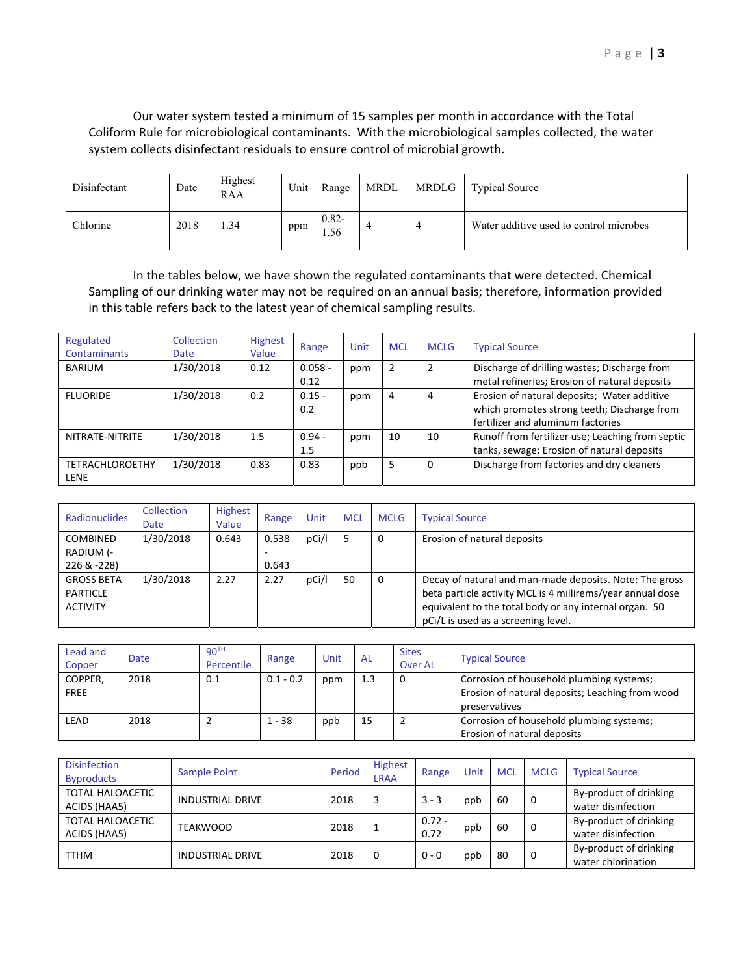Our water system tested a minimum of 15 samples per month in accordance with the Total Coliform Rule for microbiological contaminants. With the microbiological samples collected, the water system collects disinfectant residuals to ensure control of microbial growth.

| Disinfectant | Date | Highest<br>RAA | Unit | Range           | MRDL | <b>MRDLG</b> | <b>Typical Source</b>                   |
|--------------|------|----------------|------|-----------------|------|--------------|-----------------------------------------|
| Chlorine     | 2018 | 1.34           | ppm  | $0.82 -$<br>.56 |      |              | Water additive used to control microbes |

 In the tables below, we have shown the regulated contaminants that were detected. Chemical Sampling of our drinking water may not be required on an annual basis; therefore, information provided in this table refers back to the latest year of chemical sampling results.

| Regulated<br><b>Contaminants</b>      | <b>Collection</b><br>Date | <b>Highest</b><br>Value | Range             | Unit | <b>MCL</b> | <b>MCLG</b> | <b>Typical Source</b>                                                                                                           |
|---------------------------------------|---------------------------|-------------------------|-------------------|------|------------|-------------|---------------------------------------------------------------------------------------------------------------------------------|
| BARIUM                                | 1/30/2018                 | 0.12                    | $0.058 -$<br>0.12 | ppm  |            |             | Discharge of drilling wastes; Discharge from<br>metal refineries; Erosion of natural deposits                                   |
| <b>FLUORIDE</b>                       | 1/30/2018                 | 0.2                     | $0.15 -$<br>0.2   | ppm  | 4          | 4           | Erosion of natural deposits; Water additive<br>which promotes strong teeth; Discharge from<br>fertilizer and aluminum factories |
| NITRATE-NITRITE                       | 1/30/2018                 | 1.5                     | $0.94 -$<br>1.5   | ppm  | 10         | 10          | Runoff from fertilizer use; Leaching from septic<br>tanks, sewage; Erosion of natural deposits                                  |
| <b>TETRACHLOROETHY</b><br><b>LENE</b> | 1/30/2018                 | 0.83                    | 0.83              | ppb  | 5          | 0           | Discharge from factories and dry cleaners                                                                                       |

| Radionuclides     | Collection<br>Date | <b>Highest</b><br>Value | Range | Unit  | <b>MCL</b> | <b>MCLG</b> | <b>Typical Source</b>                                      |
|-------------------|--------------------|-------------------------|-------|-------|------------|-------------|------------------------------------------------------------|
| <b>COMBINED</b>   | 1/30/2018          | 0.643                   | 0.538 | pCi/l | ל          | 0           | Erosion of natural deposits                                |
| RADIUM (-         |                    |                         |       |       |            |             |                                                            |
| 226 & -228)       |                    |                         | 0.643 |       |            |             |                                                            |
| <b>GROSS BETA</b> | 1/30/2018          | 2.27                    | 2.27  | pCi/l | 50         | 0           | Decay of natural and man-made deposits. Note: The gross    |
| <b>PARTICLE</b>   |                    |                         |       |       |            |             | beta particle activity MCL is 4 millirems/year annual dose |
| <b>ACTIVITY</b>   |                    |                         |       |       |            |             | equivalent to the total body or any internal organ. 50     |
|                   |                    |                         |       |       |            |             | pCi/L is used as a screening level.                        |

| Lead and<br>Copper     | Date | 90 <sup>TH</sup><br>Percentile | Range       | Unit | AL  | <b>Sites</b><br><b>Over AL</b> | <b>Typical Source</b>                                                                                        |
|------------------------|------|--------------------------------|-------------|------|-----|--------------------------------|--------------------------------------------------------------------------------------------------------------|
| COPPER,<br><b>FREE</b> | 2018 | 0.1                            | $0.1 - 0.2$ | ppm  | 1.3 | 0                              | Corrosion of household plumbing systems;<br>Erosion of natural deposits; Leaching from wood<br>preservatives |
| LEAD                   | 2018 |                                | $1 - 38$    | ppb  | 15  | -2                             | Corrosion of household plumbing systems;<br>Erosion of natural deposits                                      |

| <b>Disinfection</b><br><b>Byproducts</b> | Sample Point            | Period | <b>Highest</b><br><b>LRAA</b> | Range            | Unit | <b>MCL</b> | <b>MCLG</b> | <b>Typical Source</b>                        |
|------------------------------------------|-------------------------|--------|-------------------------------|------------------|------|------------|-------------|----------------------------------------------|
| <b>TOTAL HALOACETIC</b><br>ACIDS (HAA5)  | <b>INDUSTRIAL DRIVE</b> | 2018   |                               | $3 - 3$          | ppb  | 60         | 0           | By-product of drinking<br>water disinfection |
| TOTAL HALOACETIC<br>ACIDS (HAA5)         | TEAKWOOD                | 2018   |                               | $0.72 -$<br>0.72 | ppb  | 60         | 0           | By-product of drinking<br>water disinfection |
| <b>TTHM</b>                              | <b>INDUSTRIAL DRIVE</b> | 2018   | 0                             | $0 - 0$          | ppb  | 80         | 0           | By-product of drinking<br>water chlorination |